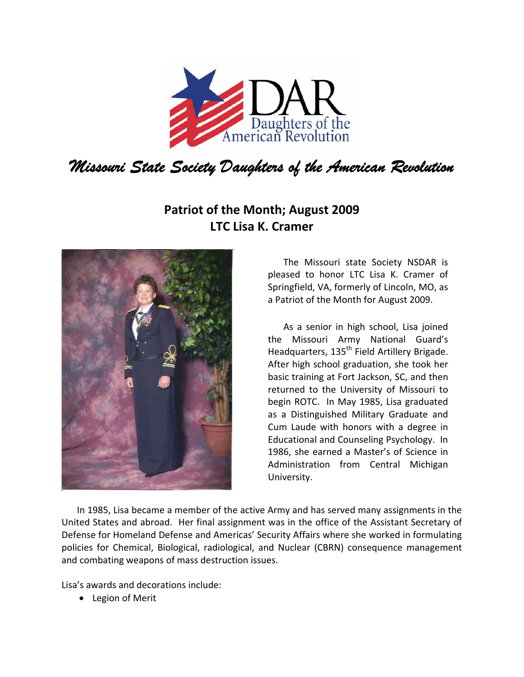

## **Patriot of the Month; August 2009 LTC Lisa K. Cramer**



The Missouri state Society NSDAR is pleased to honor LTC Lisa K. Cramer of Springfield, VA, formerly of Lincoln, MO, as a Patriot of the Month for August 2009.

As a senior in high school, Lisa joined the Missouri Army National Guard's Headquarters, 135<sup>th</sup> Field Artillery Brigade. After high school graduation, she took her basic training at Fort Jackson, SC, and then returned to the University of Missouri to begin ROTC. In May 1985, Lisa graduated as a Distinguished Military Graduate and Cum Laude with honors with a degree in Educational and Counseling Psychology. In 1986, she earned a Master's of Science in Administration from Central Michigan University.

In 1985, Lisa became a member of the active Army and has served many assignments in the United States and abroad. Her final assignment was in the office of the Assistant Secretary of Defense for Homeland Defense and Americas' Security Affairs where she worked in formulating policies for Chemical, Biological, radiological, and Nuclear (CBRN) consequence management and combating weapons of mass destruction issues.

Lisa's awards and decorations include:

• Legion of Merit